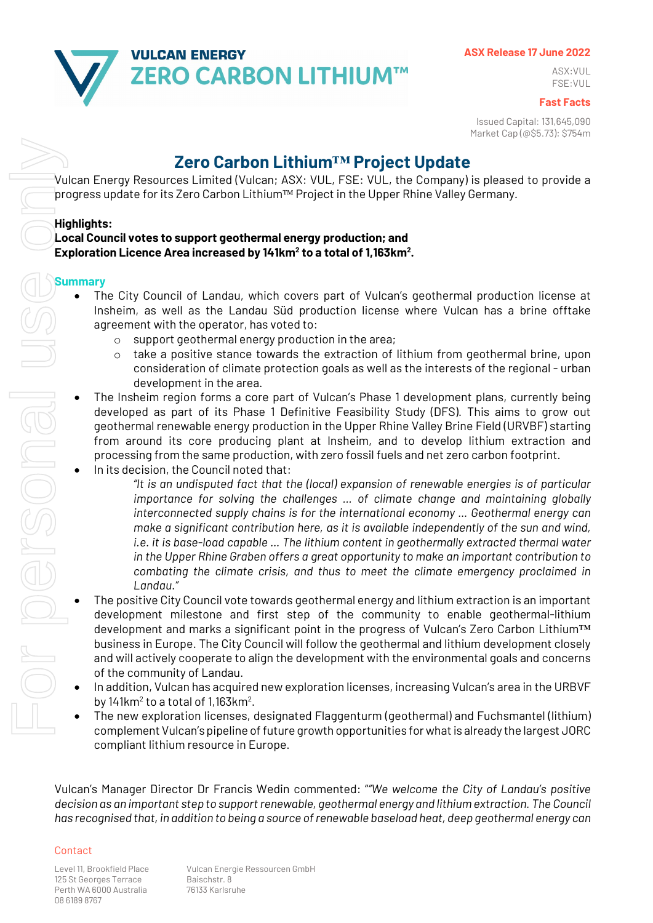

#### **ASX Release 17 June 2022**

ASX:VUL FSE:VUL

**Fast Facts**

Issued Capital: 131,645,090 Market Cap (@\$5.73): \$754m

# **Zero Carbon Lithium™ Project Update**

Vulcan Energy Resources Limited (Vulcan; ASX: VUL, FSE: VUL, the Company) is pleased to provide a progress update for its Zero Carbon Lithium™ Project in the Upper Rhine Valley Germany.

#### **Highlights:**

### **Local Council votes to support geothermal energy production; and Exploration Licence Area increased by 141km2 to a total of 1,163km2 .**

#### **Summary**

- The City Council of Landau, which covers part of Vulcan's geothermal production license at Insheim, as well as the Landau Süd production license where Vulcan has a brine offtake agreement with the operator, has voted to:
	- o support geothermal energy production in the area;
	- $\circ$  take a positive stance towards the extraction of lithium from geothermal brine, upon consideration of climate protection goals as well as the interests of the regional - urban development in the area.
- The Insheim region forms a core part of Vulcan's Phase 1 development plans, currently being developed as part of its Phase 1 Definitive Feasibility Study (DFS). This aims to grow out geothermal renewable energy production in the Upper Rhine Valley Brine Field (URVBF) starting from around its core producing plant at Insheim, and to develop lithium extraction and processing from the same production, with zero fossil fuels and net zero carbon footprint.
- In its decision, the Council noted that:

*"It is an undisputed fact that the (local) expansion of renewable energies is of particular importance for solving the challenges … of climate change and maintaining globally interconnected supply chains is for the international economy … Geothermal energy can make a significant contribution here, as it is available independently of the sun and wind, i.e. it is base-load capable … The lithium content in geothermally extracted thermal water in the Upper Rhine Graben offers a great opportunity to make an important contribution to combating the climate crisis, and thus to meet the climate emergency proclaimed in Landau."* **Faction Carbon Lithium**<sup>TM</sup> **Project Update**<br> **has recognised to provide a source Universe with the Comparison and Vision ASS resource Universe with the Comparison and <b>Litherity Heat, the Constrained to the comparison** 

- The positive City Council vote towards geothermal energy and lithium extraction is an important development milestone and first step of the community to enable geothermal-lithium development and marks a significant point in the progress of Vulcan's Zero Carbon Lithium™ business in Europe. The City Council will follow the geothermal and lithium development closely and will actively cooperate to align the development with the environmental goals and concerns of the community of Landau.
- In addition, Vulcan has acquired new exploration licenses, increasing Vulcan's area in the URBVF by 141 $km^2$  to a total of 1,163 $km^2$ .
- The new exploration licenses, designated Flaggenturm (geothermal) and Fuchsmantel (lithium) complement Vulcan's pipeline of future growth opportunities for what is already the largest JORC compliant lithium resource in Europe.

Vulcan's Manager Director Dr Francis Wedin commented: "*"We welcome the City of Landau's positive* decision as an important step to support renewable, geothermal energy and lithium extraction. The Council

#### Contact

125 St Georges Terrace Baischstr. 8 Perth WA 6000 Australia 76133 Karlsruhe 08 6189 8767

Level 11, Brookfield Place Vulcan Energie Ressourcen GmbH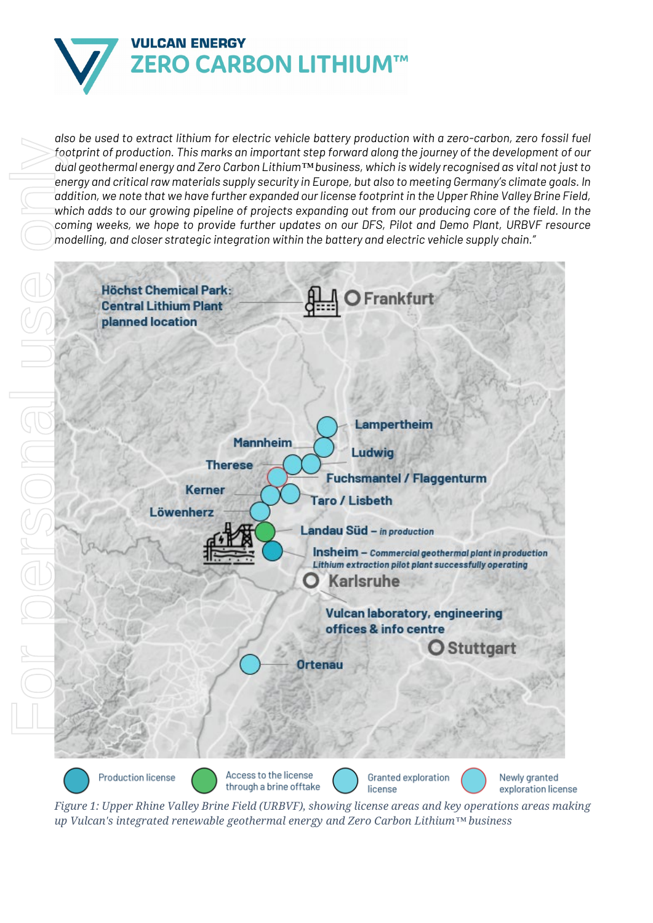

*also be used to extract lithium for electric vehicle battery production with a zero-carbon, zero fossil fuel footprint of production. This marks an important step forward along the journey of the development of our dual geothermal energy and Zero Carbon Lithium™ business, which is widely recognised as vital not just to energy and critical raw materials supply security in Europe, but also to meeting Germany's climate goals. In addition, we note that we have further expanded our license footprint in the Upper Rhine Valley Brine Field, which adds to our growing pipeline of projects expanding out from our producing core of the field. In the coming weeks, we hope to provide further updates on our DFS, Pilot and Demo Plant, URBVF resource modelling, and closer strategic integration within the battery and electric vehicle supply chain."*



*Figure 1: Upper Rhine Valley Brine Field (URBVF), showing license areas and key operations areas making*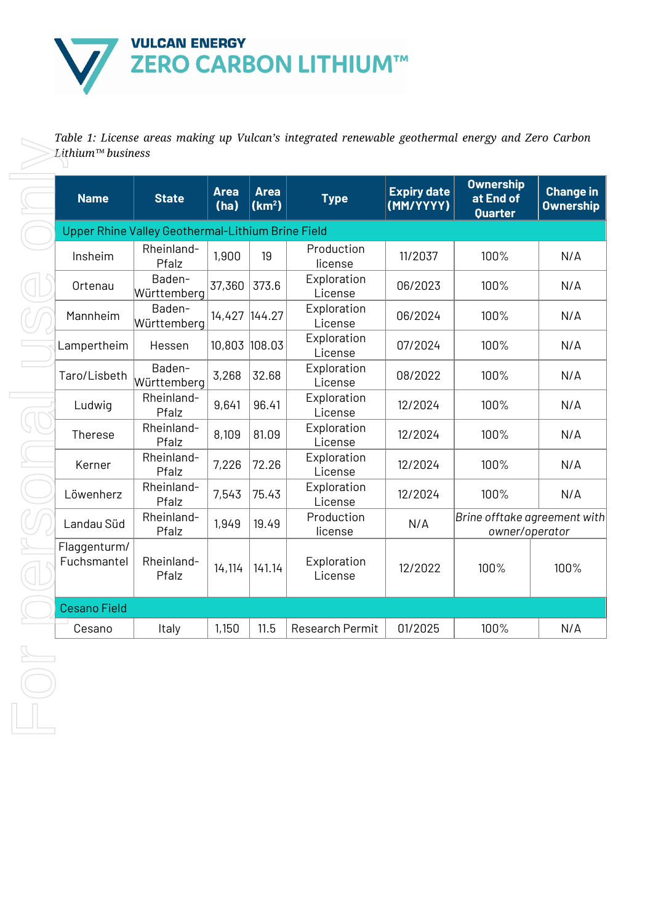

*Table 1: License areas making up Vulcan's integrated renewable geothermal energy and Zero Carbon* 

| <b>Name</b>                 | <b>State</b>                                      | <b>Area</b><br>(ha) | <b>Area</b><br>(km <sup>2</sup> ) | <b>Type</b>            | <b>Expiry date</b><br>(MM/YYYY) | <b>Ownership</b><br>at End of<br>Quarter       | <b>Change in</b><br><b>Ownership</b> |
|-----------------------------|---------------------------------------------------|---------------------|-----------------------------------|------------------------|---------------------------------|------------------------------------------------|--------------------------------------|
|                             | Upper Rhine Valley Geothermal-Lithium Brine Field |                     |                                   |                        |                                 |                                                |                                      |
| Insheim                     | Rheinland-<br>Pfalz                               | 1,900               | 19                                | Production<br>license  | 11/2037                         | 100%                                           | N/A                                  |
| Ortenau                     | Baden-<br>Württemberg                             | 37,360              | 373.6                             | Exploration<br>License | 06/2023                         | 100%                                           | N/A                                  |
| Mannheim                    | Baden-<br>Württemberg                             | 14,427              | 144.27                            | Exploration<br>License | 06/2024                         | 100%                                           | N/A                                  |
| Lampertheim                 | Hessen                                            | 10,803              | 108.03                            | Exploration<br>License | 07/2024                         | 100%                                           | N/A                                  |
| Taro/Lisbeth                | Baden-<br>Württemberg                             | 3,268               | 32.68                             | Exploration<br>License | 08/2022                         | 100%                                           | N/A                                  |
| Ludwig                      | Rheinland-<br>Pfalz                               | 9,641               | 96.41                             | Exploration<br>License | 12/2024                         | 100%                                           | N/A                                  |
| Therese                     | Rheinland-<br>Pfalz                               | 8,109               | 81.09                             | Exploration<br>License | 12/2024                         | 100%                                           | N/A                                  |
| Kerner                      | Rheinland-<br>Pfalz                               | 7,226               | 72.26                             | Exploration<br>License | 12/2024                         | 100%                                           | N/A                                  |
| Löwenherz                   | Rheinland-<br>Pfalz                               | 7,543               | 75.43                             | Exploration<br>License | 12/2024                         | 100%                                           | N/A                                  |
| Landau Süd                  | Rheinland-<br>Pfalz                               | 1,949               | 19.49                             | Production<br>license  | N/A                             | Brine offtake agreement with<br>owner/operator |                                      |
| Flaggenturm/<br>Fuchsmantel | Rheinland-<br>Pfalz                               | 14,114              | 141.14                            | Exploration<br>License | 12/2022                         | 100%                                           | 100%                                 |
| <b>Cesano Field</b>         |                                                   |                     |                                   |                        |                                 |                                                |                                      |
| Cesano                      | Italy                                             | 1,150               | 11.5                              | Research Permit        | 01/2025                         | 100%                                           | N/A                                  |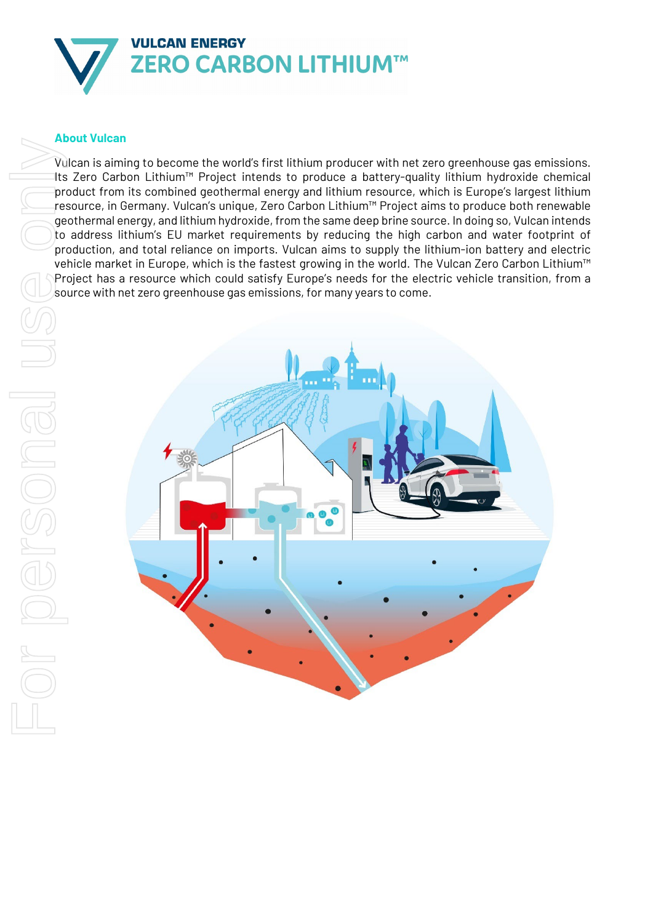

### **About Vulcan**

Vulcan is aiming to become the world's first lithium producer with net zero greenhouse gas emissions. Its Zero Carbon Lithium™ Project intends to produce a battery-quality lithium hydroxide chemical product from its combined geothermal energy and lithium resource, which is Europe's largest lithium resource, in Germany. Vulcan's unique, Zero Carbon Lithium™ Project aims to produce both renewable geothermal energy, and lithium hydroxide, from the same deep brine source. In doing so, Vulcan intends to address lithium's EU market requirements by reducing the high carbon and water footprint of production, and total reliance on imports. Vulcan aims to supply the lithium-ion battery and electric vehicle market in Europe, which is the fastest growing in the world. The Vulcan Zero Carbon Lithium™ Project has a resource which could satisfy Europe's needs for the electric vehicle transition, from a

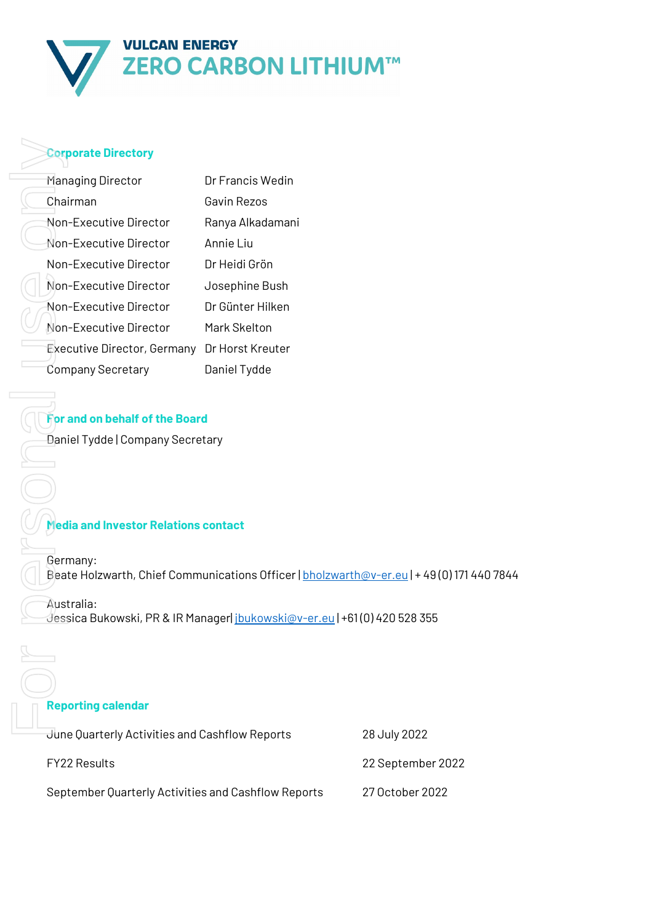

#### **Corporate Directory**

| <b>Corporate Directory</b>                                                                                                                  |                                                                                                                                                                   |                 |
|---------------------------------------------------------------------------------------------------------------------------------------------|-------------------------------------------------------------------------------------------------------------------------------------------------------------------|-----------------|
| Managing Director                                                                                                                           | Dr Francis Wedin                                                                                                                                                  |                 |
| Chairman                                                                                                                                    | Gavin Rezos                                                                                                                                                       |                 |
| Non-Executive Director                                                                                                                      | Ranya Alkadamani                                                                                                                                                  |                 |
| Non-Executive Director                                                                                                                      | Annie Liu                                                                                                                                                         |                 |
| Non-Executive Director                                                                                                                      | Dr Heidi Grön                                                                                                                                                     |                 |
| Non-Executive Director                                                                                                                      | Josephine Bush                                                                                                                                                    |                 |
| Non-Executive Director                                                                                                                      | Dr Günter Hilken                                                                                                                                                  |                 |
| Non-Executive Director                                                                                                                      | Mark Skelton                                                                                                                                                      |                 |
| Executive Director, Germany Dr Horst Kreuter                                                                                                |                                                                                                                                                                   |                 |
| <b>Company Secretary</b>                                                                                                                    | Daniel Tydde                                                                                                                                                      |                 |
| For and on behalf of the Board<br>Daniel Tydde   Company Secretary<br><b>Media and Investor Relations contact</b><br>Germany:<br>Australia: | Beate Holzwarth, Chief Communications Officer   bholzwarth@v-er.eu   + 49 (0<br>Jessica Bukowski, PR & IR Manager  <u>jbukowski@v-er.eu</u>   +61 (0) 420 528 355 |                 |
|                                                                                                                                             |                                                                                                                                                                   |                 |
| <b>Reporting calendar</b>                                                                                                                   |                                                                                                                                                                   |                 |
| June Quarterly Activities and Cashflow Reports                                                                                              |                                                                                                                                                                   | 28 July 2022    |
| <b>FY22 Results</b>                                                                                                                         |                                                                                                                                                                   | 22 September 20 |
| September Quarterly Activities and Cashflow Reports                                                                                         |                                                                                                                                                                   | 27 October 2022 |

### **For and on behalf of the Board**

## **Media and Investor Relations contact**

Germany: Beate Holzwarth, Chief Communications Officer | [bholzwarth@v-er.eu](mailto:bholzwarth@v-er.eu) | + 49(0) 171 440 7844

#### **Reporting calendar**

| June Quarterly Activities and Cashflow Reports      | 28 July 2022      |
|-----------------------------------------------------|-------------------|
| FY22 Results                                        | 22 September 2022 |
| September Quarterly Activities and Cashflow Reports | 27 October 2022   |